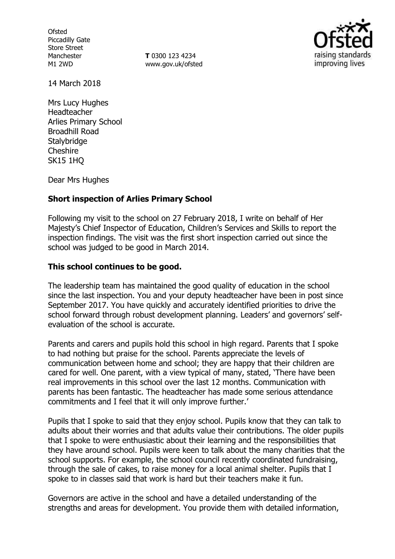**Ofsted** Piccadilly Gate Store Street Manchester M1 2WD

**T** 0300 123 4234 www.gov.uk/ofsted



14 March 2018

Mrs Lucy Hughes Headteacher Arlies Primary School Broadhill Road **Stalybridge** Cheshire SK15 1HQ

Dear Mrs Hughes

## **Short inspection of Arlies Primary School**

Following my visit to the school on 27 February 2018, I write on behalf of Her Majesty's Chief Inspector of Education, Children's Services and Skills to report the inspection findings. The visit was the first short inspection carried out since the school was judged to be good in March 2014.

## **This school continues to be good.**

The leadership team has maintained the good quality of education in the school since the last inspection. You and your deputy headteacher have been in post since September 2017. You have quickly and accurately identified priorities to drive the school forward through robust development planning. Leaders' and governors' selfevaluation of the school is accurate.

Parents and carers and pupils hold this school in high regard. Parents that I spoke to had nothing but praise for the school. Parents appreciate the levels of communication between home and school; they are happy that their children are cared for well. One parent, with a view typical of many, stated, 'There have been real improvements in this school over the last 12 months. Communication with parents has been fantastic. The headteacher has made some serious attendance commitments and I feel that it will only improve further.'

Pupils that I spoke to said that they enjoy school. Pupils know that they can talk to adults about their worries and that adults value their contributions. The older pupils that I spoke to were enthusiastic about their learning and the responsibilities that they have around school. Pupils were keen to talk about the many charities that the school supports. For example, the school council recently coordinated fundraising, through the sale of cakes, to raise money for a local animal shelter. Pupils that I spoke to in classes said that work is hard but their teachers make it fun.

Governors are active in the school and have a detailed understanding of the strengths and areas for development. You provide them with detailed information,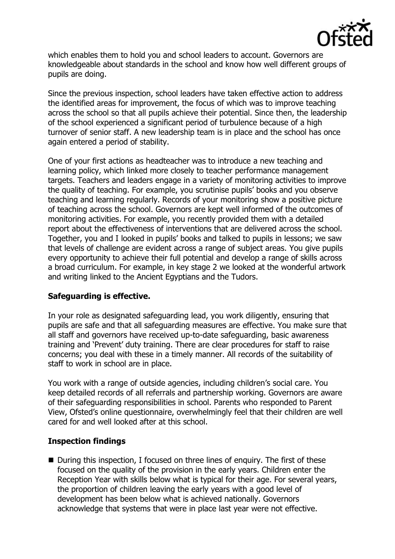

which enables them to hold you and school leaders to account. Governors are knowledgeable about standards in the school and know how well different groups of pupils are doing.

Since the previous inspection, school leaders have taken effective action to address the identified areas for improvement, the focus of which was to improve teaching across the school so that all pupils achieve their potential. Since then, the leadership of the school experienced a significant period of turbulence because of a high turnover of senior staff. A new leadership team is in place and the school has once again entered a period of stability.

One of your first actions as headteacher was to introduce a new teaching and learning policy, which linked more closely to teacher performance management targets. Teachers and leaders engage in a variety of monitoring activities to improve the quality of teaching. For example, you scrutinise pupils' books and you observe teaching and learning regularly. Records of your monitoring show a positive picture of teaching across the school. Governors are kept well informed of the outcomes of monitoring activities. For example, you recently provided them with a detailed report about the effectiveness of interventions that are delivered across the school. Together, you and I looked in pupils' books and talked to pupils in lessons; we saw that levels of challenge are evident across a range of subject areas. You give pupils every opportunity to achieve their full potential and develop a range of skills across a broad curriculum. For example, in key stage 2 we looked at the wonderful artwork and writing linked to the Ancient Egyptians and the Tudors.

## **Safeguarding is effective.**

In your role as designated safeguarding lead, you work diligently, ensuring that pupils are safe and that all safeguarding measures are effective. You make sure that all staff and governors have received up-to-date safeguarding, basic awareness training and 'Prevent' duty training. There are clear procedures for staff to raise concerns; you deal with these in a timely manner. All records of the suitability of staff to work in school are in place.

You work with a range of outside agencies, including children's social care. You keep detailed records of all referrals and partnership working. Governors are aware of their safeguarding responsibilities in school. Parents who responded to Parent View, Ofsted's online questionnaire, overwhelmingly feel that their children are well cared for and well looked after at this school.

# **Inspection findings**

■ During this inspection, I focused on three lines of enquiry. The first of these focused on the quality of the provision in the early years. Children enter the Reception Year with skills below what is typical for their age. For several years, the proportion of children leaving the early years with a good level of development has been below what is achieved nationally. Governors acknowledge that systems that were in place last year were not effective.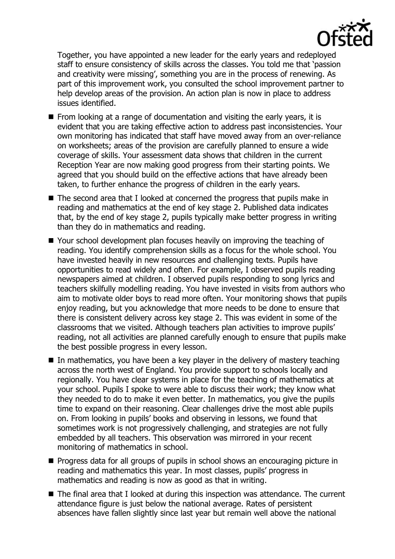

Together, you have appointed a new leader for the early years and redeployed staff to ensure consistency of skills across the classes. You told me that 'passion and creativity were missing', something you are in the process of renewing. As part of this improvement work, you consulted the school improvement partner to help develop areas of the provision. An action plan is now in place to address issues identified.

- From looking at a range of documentation and visiting the early years, it is evident that you are taking effective action to address past inconsistencies. Your own monitoring has indicated that staff have moved away from an over-reliance on worksheets; areas of the provision are carefully planned to ensure a wide coverage of skills. Your assessment data shows that children in the current Reception Year are now making good progress from their starting points. We agreed that you should build on the effective actions that have already been taken, to further enhance the progress of children in the early years.
- The second area that I looked at concerned the progress that pupils make in reading and mathematics at the end of key stage 2. Published data indicates that, by the end of key stage 2, pupils typically make better progress in writing than they do in mathematics and reading.
- Your school development plan focuses heavily on improving the teaching of reading. You identify comprehension skills as a focus for the whole school. You have invested heavily in new resources and challenging texts. Pupils have opportunities to read widely and often. For example, I observed pupils reading newspapers aimed at children. I observed pupils responding to song lyrics and teachers skilfully modelling reading. You have invested in visits from authors who aim to motivate older boys to read more often. Your monitoring shows that pupils enjoy reading, but you acknowledge that more needs to be done to ensure that there is consistent delivery across key stage 2. This was evident in some of the classrooms that we visited. Although teachers plan activities to improve pupils' reading, not all activities are planned carefully enough to ensure that pupils make the best possible progress in every lesson.
- In mathematics, you have been a key player in the delivery of mastery teaching across the north west of England. You provide support to schools locally and regionally. You have clear systems in place for the teaching of mathematics at your school. Pupils I spoke to were able to discuss their work; they know what they needed to do to make it even better. In mathematics, you give the pupils time to expand on their reasoning. Clear challenges drive the most able pupils on. From looking in pupils' books and observing in lessons, we found that sometimes work is not progressively challenging, and strategies are not fully embedded by all teachers. This observation was mirrored in your recent monitoring of mathematics in school.
- **Progress data for all groups of pupils in school shows an encouraging picture in** reading and mathematics this year. In most classes, pupils' progress in mathematics and reading is now as good as that in writing.
- The final area that I looked at during this inspection was attendance. The current attendance figure is just below the national average. Rates of persistent absences have fallen slightly since last year but remain well above the national